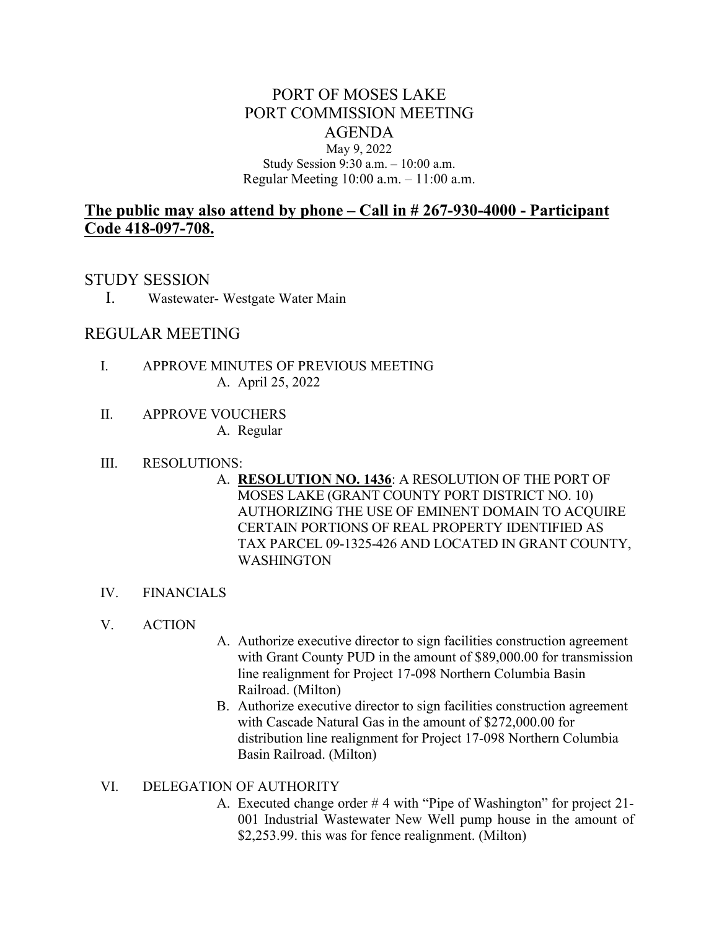# PORT OF MOSES LAKE PORT COMMISSION MEETING AGENDA May 9, 2022

Study Session 9:30 a.m. – 10:00 a.m. Regular Meeting 10:00 a.m. – 11:00 a.m.

# **The public may also attend by phone – Call in # 267-930-4000 - Participant Code 418-097-708.**

### STUDY SESSION

I. Wastewater- Westgate Water Main

# REGULAR MEETING

- I. APPROVE MINUTES OF PREVIOUS MEETING A. April 25, 2022
- II. APPROVE VOUCHERS A. Regular

#### III. RESOLUTIONS:

A. **RESOLUTION NO. 1436**: A RESOLUTION OF THE PORT OF MOSES LAKE (GRANT COUNTY PORT DISTRICT NO. 10) AUTHORIZING THE USE OF EMINENT DOMAIN TO ACOUIRE CERTAIN PORTIONS OF REAL PROPERTY IDENTIFIED AS TAX PARCEL 09-1325-426 AND LOCATED IN GRANT COUNTY, WASHINGTON

#### IV. FINANCIALS

#### V. ACTION

- A. Authorize executive director to sign facilities construction agreement with Grant County PUD in the amount of \$89,000.00 for transmission line realignment for Project 17-098 Northern Columbia Basin Railroad. (Milton)
- B. Authorize executive director to sign facilities construction agreement with Cascade Natural Gas in the amount of \$272,000.00 for distribution line realignment for Project 17-098 Northern Columbia Basin Railroad. (Milton)

#### VI. DELEGATION OF AUTHORITY

A. Executed change order # 4 with "Pipe of Washington" for project 21- 001 Industrial Wastewater New Well pump house in the amount of \$2,253.99. this was for fence realignment. (Milton)